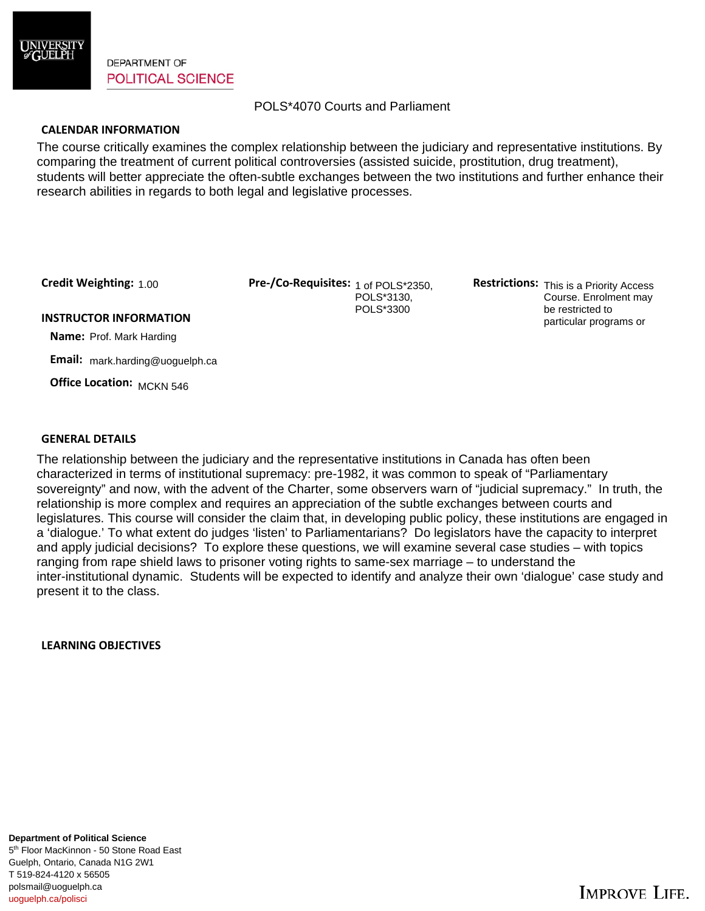

**DEPARTMENT OF POLITICAL SCIENCE** 

# POLS\*4070 Courts and Parliament

### **CALENDAR INFORMATION**

The course critically examines the complex relationship between the judiciary and representative institutions. By comparing the treatment of current political controversies (assisted suicide, prostitution, drug treatment), students will better appreciate the often-subtle exchanges between the two institutions and further enhance their research abilities in regards to both legal and legislative processes.

Credit Weighting: 1.00

Credit Weighting: 1.00 **Pre-/Co-Requisites:** 1 of POLS\*2350, **Restrictions:** POLS\*3130, POLS\*3300

Restrictions: This is a Priority Access Course. Enrolment may be restricted to particular programs or

#### **INSTRUCTOR INFORMATION**

 **Name:** Prof. Mark Harding

 **Email:** mark.harding@uoguelph.ca

 **Office Location:**  MCKN 546

#### **GENERAL DETAILS**

The relationship between the judiciary and the representative institutions in Canada has often been characterized in terms of institutional supremacy: pre-1982, it was common to speak of "Parliamentary sovereignty" and now, with the advent of the Charter, some observers warn of "judicial supremacy." In truth, the relationship is more complex and requires an appreciation of the subtle exchanges between courts and legislatures. This course will consider the claim that, in developing public policy, these institutions are engaged in a 'dialogue.' To what extent do judges 'listen' to Parliamentarians? Do legislators have the capacity to interpret and apply judicial decisions? To explore these questions, we will examine several case studies – with topics ranging from rape shield laws to prisoner voting rights to same-sex marriage – to understand the inter-institutional dynamic. Students will be expected to identify and analyze their own 'dialogue' case study and present it to the class.

**LEARNING OBJECTIVES**